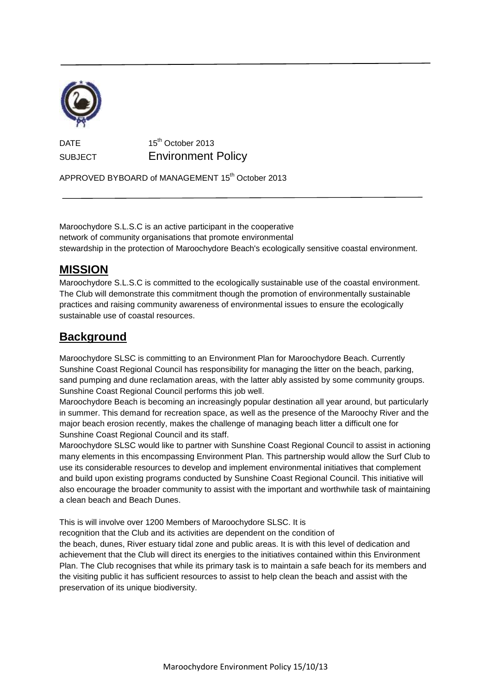

**DATE** 15<sup>th</sup> October 2013 SUBJECT Environment Policy

APPROVED BYBOARD of MANAGEMENT 15<sup>th</sup> October 2013

Maroochydore S.L.S.C is an active participant in the cooperative network of community organisations that promote environmental stewardship in the protection of Maroochydore Beach's ecologically sensitive coastal environment.

#### **MISSION**

Maroochydore S.L.S.C is committed to the ecologically sustainable use of the coastal environment. The Club will demonstrate this commitment though the promotion of environmentally sustainable practices and raising community awareness of environmental issues to ensure the ecologically sustainable use of coastal resources.

#### **Background**

Maroochydore SLSC is committing to an Environment Plan for Maroochydore Beach. Currently Sunshine Coast Regional Council has responsibility for managing the litter on the beach, parking, sand pumping and dune reclamation areas, with the latter ably assisted by some community groups. Sunshine Coast Regional Council performs this job well.

Maroochydore Beach is becoming an increasingly popular destination all year around, but particularly in summer. This demand for recreation space, as well as the presence of the Maroochy River and the major beach erosion recently, makes the challenge of managing beach litter a difficult one for Sunshine Coast Regional Council and its staff.

Maroochydore SLSC would like to partner with Sunshine Coast Regional Council to assist in actioning many elements in this encompassing Environment Plan. This partnership would allow the Surf Club to use its considerable resources to develop and implement environmental initiatives that complement and build upon existing programs conducted by Sunshine Coast Regional Council. This initiative will also encourage the broader community to assist with the important and worthwhile task of maintaining a clean beach and Beach Dunes.

This is will involve over 1200 Members of Maroochydore SLSC. It is

recognition that the Club and its activities are dependent on the condition of

the beach, dunes, River estuary tidal zone and public areas. It is with this level of dedication and achievement that the Club will direct its energies to the initiatives contained within this Environment Plan. The Club recognises that while its primary task is to maintain a safe beach for its members and the visiting public it has sufficient resources to assist to help clean the beach and assist with the preservation of its unique biodiversity.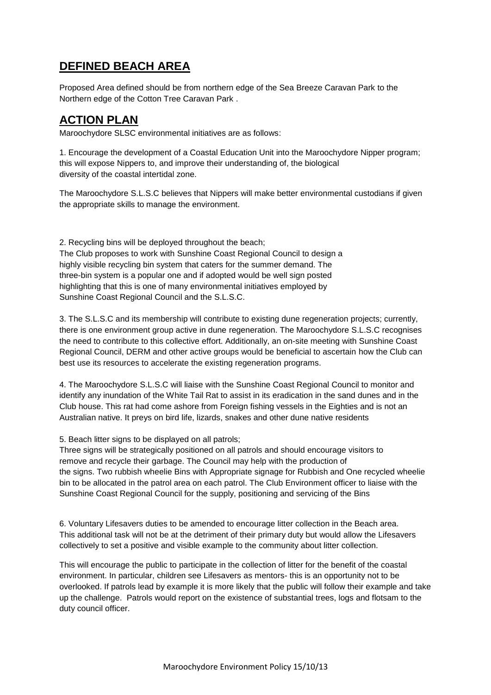# **DEFINED BEACH AREA**

Proposed Area defined should be from northern edge of the Sea Breeze Caravan Park to the Northern edge of the Cotton Tree Caravan Park .

## **ACTION PLAN**

Maroochydore SLSC environmental initiatives are as follows:

1. Encourage the development of a Coastal Education Unit into the Maroochydore Nipper program; this will expose Nippers to, and improve their understanding of, the biological diversity of the coastal intertidal zone.

The Maroochydore S.L.S.C believes that Nippers will make better environmental custodians if given the appropriate skills to manage the environment.

2. Recycling bins will be deployed throughout the beach; The Club proposes to work with Sunshine Coast Regional Council to design a highly visible recycling bin system that caters for the summer demand. The three-bin system is a popular one and if adopted would be well sign posted highlighting that this is one of many environmental initiatives employed by Sunshine Coast Regional Council and the S.L.S.C.

3. The S.L.S.C and its membership will contribute to existing dune regeneration projects; currently, there is one environment group active in dune regeneration. The Maroochydore S.L.S.C recognises the need to contribute to this collective effort. Additionally, an on-site meeting with Sunshine Coast Regional Council, DERM and other active groups would be beneficial to ascertain how the Club can best use its resources to accelerate the existing regeneration programs.

4. The Maroochydore S.L.S.C will liaise with the Sunshine Coast Regional Council to monitor and identify any inundation of the White Tail Rat to assist in its eradication in the sand dunes and in the Club house. This rat had come ashore from Foreign fishing vessels in the Eighties and is not an Australian native. It preys on bird life, lizards, snakes and other dune native residents

5. Beach litter signs to be displayed on all patrols:

Three signs will be strategically positioned on all patrols and should encourage visitors to remove and recycle their garbage. The Council may help with the production of the signs. Two rubbish wheelie Bins with Appropriate signage for Rubbish and One recycled wheelie bin to be allocated in the patrol area on each patrol. The Club Environment officer to liaise with the Sunshine Coast Regional Council for the supply, positioning and servicing of the Bins

6. Voluntary Lifesavers duties to be amended to encourage litter collection in the Beach area. This additional task will not be at the detriment of their primary duty but would allow the Lifesavers collectively to set a positive and visible example to the community about litter collection.

This will encourage the public to participate in the collection of litter for the benefit of the coastal environment. In particular, children see Lifesavers as mentors- this is an opportunity not to be overlooked. If patrols lead by example it is more likely that the public will follow their example and take up the challenge. Patrols would report on the existence of substantial trees, logs and flotsam to the duty council officer.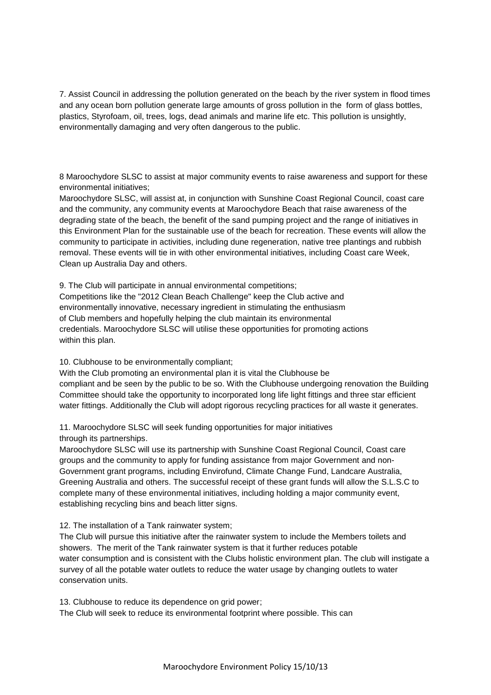7. Assist Council in addressing the pollution generated on the beach by the river system in flood times and any ocean born pollution generate large amounts of gross pollution in the form of glass bottles, plastics, Styrofoam, oil, trees, logs, dead animals and marine life etc. This pollution is unsightly, environmentally damaging and very often dangerous to the public.

8 Maroochydore SLSC to assist at major community events to raise awareness and support for these environmental initiatives;

Maroochydore SLSC, will assist at, in conjunction with Sunshine Coast Regional Council, coast care and the community, any community events at Maroochydore Beach that raise awareness of the degrading state of the beach, the benefit of the sand pumping project and the range of initiatives in this Environment Plan for the sustainable use of the beach for recreation. These events will allow the community to participate in activities, including dune regeneration, native tree plantings and rubbish removal. These events will tie in with other environmental initiatives, including Coast care Week, Clean up Australia Day and others.

9. The Club will participate in annual environmental competitions; Competitions like the "2012 Clean Beach Challenge" keep the Club active and environmentally innovative, necessary ingredient in stimulating the enthusiasm of Club members and hopefully helping the club maintain its environmental credentials. Maroochydore SLSC will utilise these opportunities for promoting actions within this plan.

10. Clubhouse to be environmentally compliant;

With the Club promoting an environmental plan it is vital the Clubhouse be compliant and be seen by the public to be so. With the Clubhouse undergoing renovation the Building Committee should take the opportunity to incorporated long life light fittings and three star efficient water fittings. Additionally the Club will adopt rigorous recycling practices for all waste it generates.

11. Maroochydore SLSC will seek funding opportunities for major initiatives through its partnerships.

Maroochydore SLSC will use its partnership with Sunshine Coast Regional Council, Coast care groups and the community to apply for funding assistance from major Government and non-Government grant programs, including Envirofund, Climate Change Fund, Landcare Australia, Greening Australia and others. The successful receipt of these grant funds will allow the S.L.S.C to complete many of these environmental initiatives, including holding a major community event, establishing recycling bins and beach litter signs.

12. The installation of a Tank rainwater system;

The Club will pursue this initiative after the rainwater system to include the Members toilets and showers. The merit of the Tank rainwater system is that it further reduces potable water consumption and is consistent with the Clubs holistic environment plan. The club will instigate a survey of all the potable water outlets to reduce the water usage by changing outlets to water conservation units.

13. Clubhouse to reduce its dependence on grid power; The Club will seek to reduce its environmental footprint where possible. This can